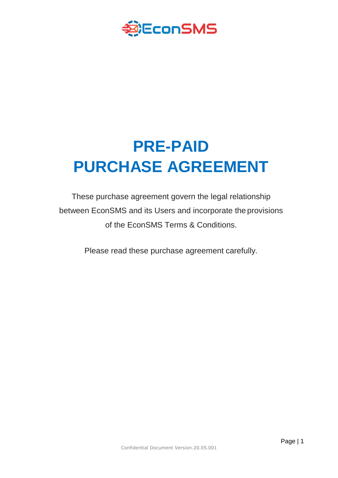

# **PRE-PAID PURCHASE AGREEMENT**

These purchase agreement govern the legal relationship between EconSMS and its Users and incorporate the provisions of the EconSMS Terms & Conditions.

Please read these purchase agreement carefully.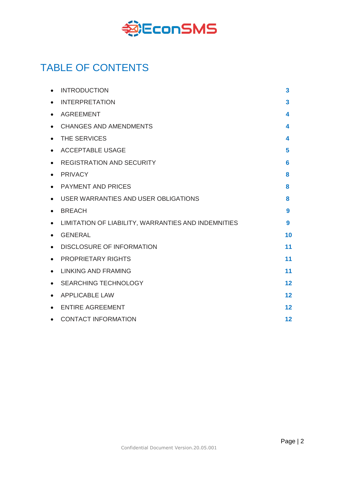

# TABLE OF CONTENTS

|           | <b>INTRODUCTION</b>                                 | 3  |
|-----------|-----------------------------------------------------|----|
| $\bullet$ | <b>INTERPRETATION</b>                               | 3  |
| $\bullet$ | <b>AGREEMENT</b>                                    | 4  |
| $\bullet$ | <b>CHANGES AND AMENDMENTS</b>                       | 4  |
| $\bullet$ | THE SERVICES                                        | 4  |
| $\bullet$ | <b>ACCEPTABLE USAGE</b>                             | 5  |
| $\bullet$ | <b>REGISTRATION AND SECURITY</b>                    | 6  |
| $\bullet$ | <b>PRIVACY</b>                                      | 8  |
| $\bullet$ | <b>PAYMENT AND PRICES</b>                           | 8  |
| $\bullet$ | USER WARRANTIES AND USER OBLIGATIONS                | 8  |
| $\bullet$ | <b>BREACH</b>                                       | 9  |
| $\bullet$ | LIMITATION OF LIABILITY, WARRANTIES AND INDEMNITIES | 9  |
|           | <b>GENERAL</b>                                      | 10 |
| $\bullet$ | <b>DISCLOSURE OF INFORMATION</b>                    | 11 |
| $\bullet$ | <b>PROPRIETARY RIGHTS</b>                           | 11 |
| $\bullet$ | <b>LINKING AND FRAMING</b>                          | 11 |
| $\bullet$ | <b>SEARCHING TECHNOLOGY</b>                         | 12 |
| $\bullet$ | <b>APPLICABLE LAW</b>                               | 12 |
|           | <b>ENTIRE AGREEMENT</b>                             | 12 |
|           | <b>CONTACT INFORMATION</b>                          | 12 |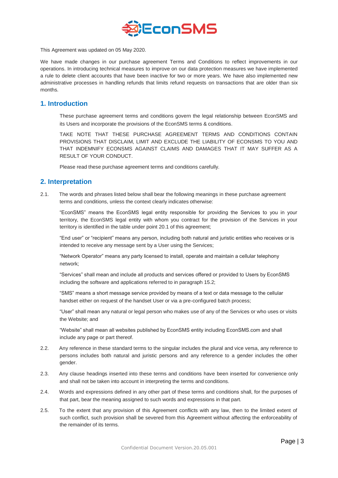

This Agreement was updated on 05 May 2020.

We have made changes in our purchase agreement Terms and Conditions to reflect improvements in our operations. In introducing technical measures to improve on our data protection measures we have implemented a rule to delete client accounts that have been inactive for two or more years. We have also implemented new administrative processes in handling refunds that limits refund requests on transactions that are older than six months.

#### **1. Introduction**

These purchase agreement terms and conditions govern the legal relationship between EconSMS and its Users and incorporate the provisions of the EconSMS terms & conditions.

TAKE NOTE THAT THESE PURCHASE AGREEMENT TERMS AND CONDITIONS CONTAIN PROVISIONS THAT DISCLAIM, LIMIT AND EXCLUDE THE LIABILITY OF ECONSMS TO YOU AND THAT INDEMNIFY ECONSMS AGAINST CLAIMS AND DAMAGES THAT IT MAY SUFFER AS A RESULT OF YOUR CONDUCT.

Please read these purchase agreement terms and conditions carefully.

#### **2. Interpretation**

2.1. The words and phrases listed below shall bear the following meanings in these purchase agreement terms and conditions, unless the context clearly indicates otherwise:

"EconSMS" means the EconSMS legal entity responsible for providing the Services to you in your territory, the EconSMS legal entity with whom you contract for the provision of the Services in your territory is identified in the table under point 20.1 of this agreement;

"End user" or "recipient" means any person, including both natural and juristic entities who receives or is intended to receive any message sent by a User using the Services;

"Network Operator" means any party licensed to install, operate and maintain a cellular telephony network;

"Services" shall mean and include all products and services offered or provided to Users by EconSMS including the software and applications referred to in paragraph 15.2;

"SMS" means a short message service provided by means of a text or data message to the cellular handset either on request of the handset User or via a pre-configured batch process;

"User" shall mean any natural or legal person who makes use of any of the Services or who uses or visits the Website; and

"Website" shall mean all websites published by EconSMS entity including EconSMS.com and shall include any page or part thereof.

- 2.2. Any reference in these standard terms to the singular includes the plural and vice versa, any reference to persons includes both natural and juristic persons and any reference to a gender includes the other gender.
- 2.3. Any clause headings inserted into these terms and conditions have been inserted for convenience only and shall not be taken into account in interpreting the terms and conditions.
- 2.4. Words and expressions defined in any other part of these terms and conditions shall, for the purposes of that part, bear the meaning assigned to such words and expressions in that part.
- 2.5. To the extent that any provision of this Agreement conflicts with any law, then to the limited extent of such conflict, such provision shall be severed from this Agreement without affecting the enforceability of the remainder of its terms.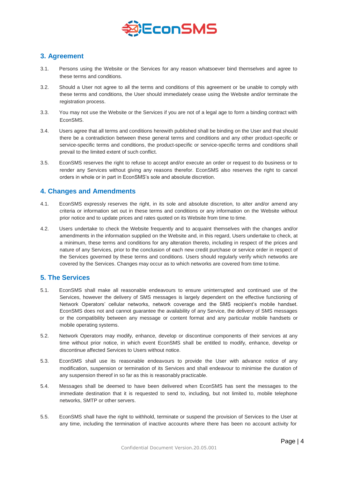

# **3. Agreement**

- 3.1. Persons using the Website or the Services for any reason whatsoever bind themselves and agree to these terms and conditions.
- 3.2. Should a User not agree to all the terms and conditions of this agreement or be unable to comply with these terms and conditions, the User should immediately cease using the Website and/or terminate the registration process.
- 3.3. You may not use the Website or the Services if you are not of a legal age to form a binding contract with EconSMS.
- 3.4. Users agree that all terms and conditions herewith published shall be binding on the User and that should there be a contradiction between these general terms and conditions and any other product-specific or service-specific terms and conditions, the product-specific or service-specific terms and conditions shall prevail to the limited extent of such conflict.
- 3.5. EconSMS reserves the right to refuse to accept and/or execute an order or request to do business or to render any Services without giving any reasons therefor. EconSMS also reserves the right to cancel orders in whole or in part in EconSMS's sole and absolute discretion.

# **4. Changes and Amendments**

- 4.1. EconSMS expressly reserves the right, in its sole and absolute discretion, to alter and/or amend any criteria or information set out in these terms and conditions or any information on the Website without prior notice and to update prices and rates quoted on its Website from time to time.
- 4.2. Users undertake to check the Website frequently and to acquaint themselves with the changes and/or amendments in the information supplied on the Website and, in this regard, Users undertake to check, at a minimum, these terms and conditions for any alteration thereto, including in respect of the prices and nature of any Services, prior to the conclusion of each new credit purchase or service order in respect of the Services governed by these terms and conditions. Users should regularly verify which networks are covered by the Services. Changes may occur as to which networks are covered from time totime.

# **5. The Services**

- 5.1. EconSMS shall make all reasonable endeavours to ensure uninterrupted and continued use of the Services, however the delivery of SMS messages is largely dependent on the effective functioning of Network Operators' cellular networks, network coverage and the SMS recipient's mobile handset. EconSMS does not and cannot guarantee the availability of any Service, the delivery of SMS messages or the compatibility between any message or content format and any particular mobile handsets or mobile operating systems.
- 5.2. Network Operators may modify, enhance, develop or discontinue components of their services at any time without prior notice, in which event EconSMS shall be entitled to modify, enhance, develop or discontinue affected Services to Users without notice.
- 5.3. EconSMS shall use its reasonable endeavours to provide the User with advance notice of any modification, suspension or termination of its Services and shall endeavour to minimise the duration of any suspension thereof in so far as this is reasonably practicable.
- 5.4. Messages shall be deemed to have been delivered when EconSMS has sent the messages to the immediate destination that it is requested to send to, including, but not limited to, mobile telephone networks, SMTP or other servers.
- 5.5. EconSMS shall have the right to withhold, terminate or suspend the provision of Services to the User at any time, including the termination of inactive accounts where there has been no account activity for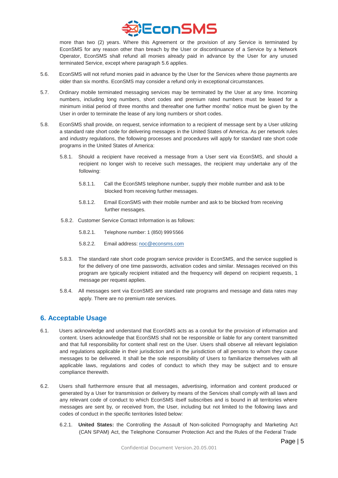

more than two (2) years. Where this Agreement or the provision of any Service is terminated by EconSMS for any reason other than breach by the User or discontinuance of a Service by a Network Operator, EconSMS shall refund all monies already paid in advance by the User for any unused terminated Service, except where paragraph 5.6 applies.

- 5.6. EconSMS will not refund monies paid in advance by the User for the Services where those payments are older than six months. EconSMS may consider a refund only in exceptional circumstances.
- 5.7. Ordinary mobile terminated messaging services may be terminated by the User at any time. Incoming numbers, including long numbers, short codes and premium rated numbers must be leased for a minimum initial period of three months and thereafter one further months' notice must be given by the User in order to terminate the lease of any long numbers or short codes.
- 5.8. EconSMS shall provide, on request, service information to a recipient of message sent by a User utilizing a standard rate short code for delivering messages in the United States of America. As per network rules and industry regulations, the following processes and procedures will apply for standard rate short code programs in the United States of America:
	- 5.8.1. Should a recipient have received a message from a User sent via EconSMS, and should a recipient no longer wish to receive such messages, the recipient may undertake any of the following:
		- 5.8.1.1. Call the EconSMS telephone number, supply their mobile number and ask to be blocked from receiving further messages.
		- 5.8.1.2. Email EconSMS with their mobile number and ask to be blocked from receiving further messages.
	- 5.8.2. Customer Service Contact Information is as follows:
		- 5.8.2.1. Telephone number: 1 (850) 999 5566
		- 5.8.2.2. Email address: [noc@econsms.com](mailto:noc@econsms.com)
	- 5.8.3. The standard rate short code program service provider is EconSMS, and the service supplied is for the delivery of one time passwords, activation codes and similar. Messages received on this program are typically recipient initiated and the frequency will depend on recipient requests, 1 message per request applies.
	- 5.8.4. All messages sent via EconSMS are standard rate programs and message and data rates may apply. There are no premium rate services.

# **6. Acceptable Usage**

- 6.1. Users acknowledge and understand that EconSMS acts as a conduit for the provision of information and content. Users acknowledge that EconSMS shall not be responsible or liable for any content transmitted and that full responsibility for content shall rest on the User. Users shall observe all relevant legislation and regulations applicable in their jurisdiction and in the jurisdiction of all persons to whom they cause messages to be delivered. It shall be the sole responsibility of Users to familiarize themselves with all applicable laws, regulations and codes of conduct to which they may be subject and to ensure compliance therewith.
- 6.2. Users shall furthermore ensure that all messages, advertising, information and content produced or generated by a User for transmission or delivery by means of the Services shall comply with all laws and any relevant code of conduct to which EconSMS itself subscribes and is bound in all territories where messages are sent by, or received from, the User, including but not limited to the following laws and codes of conduct in the specific territories listed below:
	- 6.2.1. **United States:** the Controlling the Assault of Non-solicited Pornography and Marketing Act (CAN SPAM) Act, the Telephone Consumer Protection Act and the Rules of the Federal Trade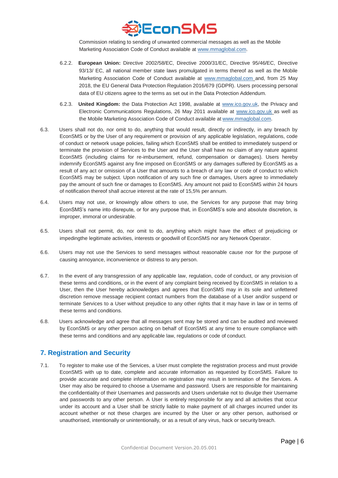

Commission relating to sending of unwanted commercial messages as well as the Mobile Marketing Association Code of Conduct available a[t www.mmaglobal.com.](http://www.mmaglobal.com/)

- 6.2.2. **European Union:** Directive 2002/58/EC, Directive 2000/31/EC, Directive 95/46/EC, Directive 93/13/ EC, all national member state laws promulgated in terms thereof as well as the Mobile Marketing Association Code of Conduct available at [www.mmaglobal.com](http://www.mmaglobal.com/) and, from 25 May 2018, the EU General Data Protection Regulation 2016/679 (GDPR). Users processing personal data of EU citizens agree to the terms as set out in the Data Protection Addendum.
- 6.2.3. **United Kingdom:** the Data Protection Act 1998, available at [www.ico.gov.uk,](http://www.ico.gov.uk/) the Privacy and Electronic Communications Regulations, 26 May 2011 available at [www.ico.gov.uk](http://www.ico.gov.uk/) as well as the Mobile Marketing Association Code of Conduct available at [www.mmaglobal.com.](http://www.mmaglobal.com/)
- 6.3. Users shall not do, nor omit to do, anything that would result, directly or indirectly, in any breach by EconSMS or by the User of any requirement or provision of any applicable legislation, regulations, code of conduct or network usage policies, failing which EconSMS shall be entitled to immediately suspend or terminate the provision of Services to the User and the User shall have no claim of any nature against EconSMS (including claims for re-imbursement, refund, compensation or damages). Users hereby indemnify EconSMS against any fine imposed on EconSMS or any damages suffered by EconSMS as a result of any act or omission of a User that amounts to a breach of any law or code of conduct to which EconSMS may be subject. Upon notification of any such fine or damages, Users agree to immediately pay the amount of such fine or damages to EconSMS. Any amount not paid to EconSMS within 24 hours of notification thereof shall accrue interest at the rate of 15,5% per annum.
- 6.4. Users may not use, or knowingly allow others to use, the Services for any purpose that may bring EconSMS's name into disrepute, or for any purpose that, in EconSMS's sole and absolute discretion, is improper, immoral or undesirable.
- 6.5. Users shall not permit, do, nor omit to do, anything which might have the effect of prejudicing or impedingthe legitimate activities, interests or goodwill of EconSMS nor any Network Operator.
- 6.6. Users may not use the Services to send messages without reasonable cause nor for the purpose of causing annoyance, inconvenience or distress to any person.
- 6.7. In the event of any transgression of any applicable law, regulation, code of conduct, or any provision of these terms and conditions, or in the event of any complaint being received by EconSMS in relation to a User, then the User hereby acknowledges and agrees that EconSMS may in its sole and unfettered discretion remove message recipient contact numbers from the database of a User and/or suspend or terminate Services to a User without prejudice to any other rights that it may have in law or in terms of these terms and conditions.
- 6.8. Users acknowledge and agree that all messages sent may be stored and can be audited and reviewed by EconSMS or any other person acting on behalf of EconSMS at any time to ensure compliance with these terms and conditions and any applicable law, regulations or code of conduct.

# **7. Registration and Security**

7.1. To register to make use of the Services, a User must complete the registration process and must provide EconSMS with up to date, complete and accurate information as requested by EconSMS. Failure to provide accurate and complete information on registration may result in termination of the Services. A User may also be required to choose a Username and password. Users are responsible for maintaining the confidentiality of their Usernames and passwords and Users undertake not to divulge their Username and passwords to any other person. A User is entirely responsible for any and all activities that occur under its account and a User shall be strictly liable to make payment of all charges incurred under its account whether or not these charges are incurred by the User or any other person, authorised or unauthorised, intentionally or unintentionally, or as a result of any virus, hack or security breach.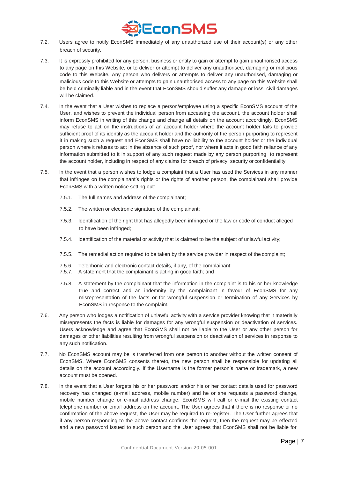

- 7.2. Users agree to notify EconSMS immediately of any unauthorized use of their account(s) or any other breach of security.
- 7.3. It is expressly prohibited for any person, business or entity to gain or attempt to gain unauthorised access to any page on this Website, or to deliver or attempt to deliver any unauthorised, damaging or malicious code to this Website. Any person who delivers or attempts to deliver any unauthorised, damaging or malicious code to this Website or attempts to gain unauthorised access to any page on this Website shall be held criminally liable and in the event that EconSMS should suffer any damage or loss, civil damages will be claimed.
- 7.4. In the event that a User wishes to replace a person/employee using a specific EconSMS account of the User, and wishes to prevent the individual person from accessing the account, the account holder shall inform EconSMS in writing of this change and change all details on the account accordingly. EconSMS may refuse to act on the instructions of an account holder where the account holder fails to provide sufficient proof of its identity as the account holder and the authority of the person purporting to represent it in making such a request and EconSMS shall have no liability to the account holder or the individual person where it refuses to act in the absence of such proof, nor where it acts in good faith reliance of any information submitted to it in support of any such request made by any person purporting to represent the account holder, including in respect of any claims for breach of privacy, security or confidentiality.
- 7.5. In the event that a person wishes to lodge a complaint that a User has used the Services in any manner that infringes on the complainant's rights or the rights of another person, the complainant shall provide EconSMS with a written notice setting out:
	- 7.5.1. The full names and address of the complainant;
	- 7.5.2. The written or electronic signature of the complainant;
	- 7.5.3. Identification of the right that has allegedly been infringed or the law or code of conduct alleged to have been infringed;
	- 7.5.4. Identification of the material or activity that is claimed to be the subject of unlawful activity;
	- 7.5.5. The remedial action required to be taken by the service provider in respect of the complaint;
	- 7.5.6. Telephonic and electronic contact details, if any, of the complainant;
	- 7.5.7. A statement that the complainant is acting in good faith; and
	- 7.5.8. A statement by the complainant that the information in the complaint is to his or her knowledge true and correct and an indemnity by the complainant in favour of EconSMS for any misrepresentation of the facts or for wrongful suspension or termination of any Services by EconSMS in response to the complaint.
- 7.6. Any person who lodges a notification of unlawful activity with a service provider knowing that it materially misrepresents the facts is liable for damages for any wrongful suspension or deactivation of services. Users acknowledge and agree that EconSMS shall not be liable to the User or any other person for damages or other liabilities resulting from wrongful suspension or deactivation of services in response to any such notification.
- 7.7. No EconSMS account may be is transferred from one person to another without the written consent of EconSMS. Where EconSMS consents thereto, the new person shall be responsible for updating all details on the account accordingly. If the Username is the former person's name or trademark, a new account must be opened.
- 7.8. In the event that a User forgets his or her password and/or his or her contact details used for password recovery has changed (e-mail address, mobile number) and he or she requests a password change, mobile number change or e-mail address change, EconSMS will call or e-mail the existing contact telephone number or email address on the account. The User agrees that if there is no response or no confirmation of the above request, the User may be required to re-register. The User further agrees that if any person responding to the above contact confirms the request, then the request may be effected and a new password issued to such person and the User agrees that EconSMS shall not be liable for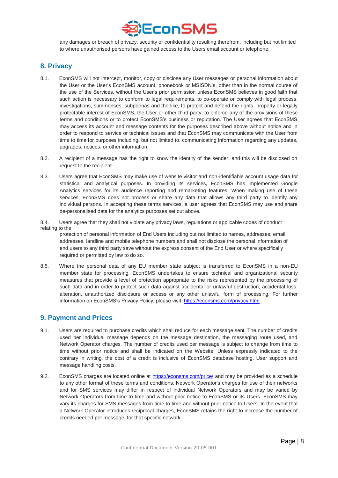

any damages or breach of privacy, security or confidentiality resulting therefrom, including but not limited to where unauthorised persons have gained access to the Users email account or telephone.

#### **8. Privacy**

- 8.1. EconSMS will not intercept, monitor, copy or disclose any User messages or personal information about the User or the User's EconSMS account, phonebook or MSISDN's, other than in the normal course of the use of the Services, without the User's prior permission unless EconSMS believes in good faith that such action is necessary to conform to legal requirements, to co-operate or comply with legal process, investigations, summonses, subpoenas and the like, to protect and defend the rights, property or legally protectable interest of EconSMS, the User or other third party, to enforce any of the provisions of these terms and conditions or to protect EconSMS's business or reputation. The User agrees that EconSMS may access its account and message contents for the purposes described above without notice and in order to respond to service or technical issues and that EconSMS may communicate with the User from time to time for purposes including, but not limited to, communicating information regarding any updates, upgrades, notices, or other information.
- 8.2. A recipient of a message has the right to know the identity of the sender, and this will be disclosed on request to the recipient.
- 8.3. Users agree that EconSMS may make use of website visitor and non-identifiable account usage data for statistical and analytical purposes. In providing its services, EconSMS has implemented Google Analytics services for its audience reporting and remarketing features. When making use of these services, EconSMS does not process or share any data that allows any third party to identify any individual persons. In accepting these terms services, a user agrees that EconSMS may use and share de-personalised data for the analytics purposes set out above.

8.4. Users agree that they shall not violate any privacy laws, regulations or applicable codes of conduct relating to the

protection of personal information of End Users including but not limited to names, addresses, email addresses, landline and mobile telephone numbers and shall not disclose the personal information of end users to any third party save without the express consent of the End User or where specifically required or permitted by law to do so.

8.5. Where the personal data of any EU member state subject is transferred to EconSMS in a non-EU member state for processing, EconSMS undertakes to ensure technical and organizational security measures that provide a level of protection appropriate to the risks represented by the processing of such data and in order to protect such data against accidental or unlawful destruction, accidental loss, alteration, unauthorized disclosure or access or any other unlawful form of processing. For further information on EconSMS's Privacy Policy, please visit: <https://econsms.com/privacy.html>

#### **9. Payment and Prices**

- 9.1. Users are required to purchase credits which shall reduce for each message sent. The number of credits used per individual message depends on the message destination, the messaging route used, and Network Operator charges. The number of credits used per message is subject to change from time to time without prior notice and shall be indicated on the Website. Unless expressly indicated to the contrary in writing, the cost of a credit is inclusive of EconSMS database hosting, User support and message handling costs.
- 9.2. EconSMS charges are located online at <https://econsms.com/price/> and may be provided as a schedule to any other format of these terms and conditions. Network Operator's charges for use of their networks and for SMS services may differ in respect of individual Network Operators and may be varied by Network Operators from time to time and without prior notice to EconSMS or its Users. EconSMS may vary its charges for SMS messages from time to time and without prior notice to Users. In the event that a Network Operator introduces reciprocal charges, EconSMS retains the right to increase the number of credits needed per message, for that specific network.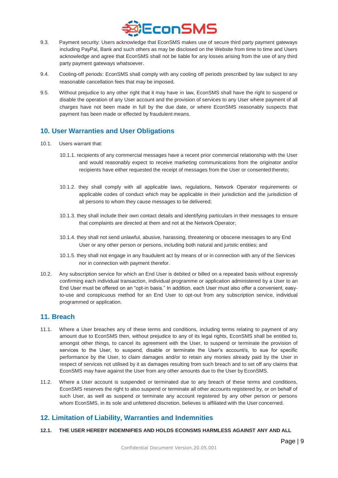

- 9.3. Payment security: Users acknowledge that EconSMS makes use of secure third party payment gateways including PayPal, Bank and such others as may be disclosed on the Website from time to time and Users acknowledge and agree that EconSMS shall not be liable for any losses arising from the use of any third party payment gateways whatsoever.
- 9.4. Cooling-off periods: EconSMS shall comply with any cooling off periods prescribed by law subject to any reasonable cancellation fees that may be imposed.
- 9.5. Without prejudice to any other right that it may have in law, EconSMS shall have the right to suspend or disable the operation of any User account and the provision of services to any User where payment of all charges have not been made in full by the due date, or where EconSMS reasonably suspects that payment has been made or effected by fraudulent means.

# **10. User Warranties and User Obligations**

- 10.1. Users warrant that:
	- 10.1.1. recipients of any commercial messages have a recent prior commercial relationship with the User and would reasonably expect to receive marketing communications from the originator and/or recipients have either requested the receipt of messages from the User or consented thereto;
	- 10.1.2. they shall comply with all applicable laws, regulations, Network Operator requirements or applicable codes of conduct which may be applicable in their jurisdiction and the jurisdiction of all persons to whom they cause messages to be delivered;
	- 10.1.3. they shall include their own contact details and identifying particulars in their messages to ensure that complaints are directed at them and not at the Network Operator;
	- 10.1.4. they shall not send unlawful, abusive, harassing, threatening or obscene messages to any End User or any other person or persons, including both natural and juristic entities; and
	- 10.1.5. they shall not engage in any fraudulent act by means of or in connection with any of the Services nor in connection with payment therefor.
- 10.2. Any subscription service for which an End User is debited or billed on a repeated basis without expressly confirming each individual transaction, individual programme or application administered by a User to an End User must be offered on an "opt-in basis." In addition, each User must also offer a convenient, easyto-use and conspicuous method for an End User to opt-out from any subscription service, individual programmed or application.

#### **11. Breach**

- 11.1. Where a User breaches any of these terms and conditions, including terms relating to payment of any amount due to EconSMS then, without prejudice to any of its legal rights, EconSMS shall be entitled to, amongst other things, to cancel its agreement with the User, to suspend or terminate the provision of services to the User, to suspend, disable or terminate the User's account/s, to sue for specific performance by the User, to claim damages and/or to retain any monies already paid by the User in respect of services not utilised by it as damages resulting from such breach and to set off any claims that EconSMS may have against the User from any other amounts due to the User by EconSMS.
- 11.2. Where a User account is suspended or terminated due to any breach of these terms and conditions, EconSMS reserves the right to also suspend or terminate all other accounts registered by, or on behalf of such User, as well as suspend or terminate any account registered by any other person or persons whom EconSMS, in its sole and unfettered discretion, believes is affiliated with the User concerned.

# **12. Limitation of Liability, Warranties and Indemnities**

#### **12.1. THE USER HEREBY INDEMNIFIES AND HOLDS ECONSMS HARMLESS AGAINST ANY AND ALL**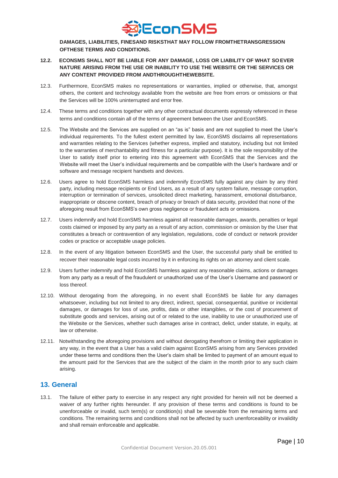

**DAMAGES, LIABILITIES, FINESAND RISKSTHAT MAY FOLLOW FROMTHETRANSGRESSION OFTHESE TERMS AND CONDITIONS.**

- **12.2. ECONSMS SHALL NOT BE LIABLE FOR ANY DAMAGE, LOSS OR LIABILITY OF WHAT SO EVER NATURE ARISING FROM THE USE OR INABILITY TO USE THE WEBSITE OR THE SERVICES OR ANY CONTENT PROVIDED FROM ANDTHROUGHTHEWEBSITE.**
- 12.3. Furthermore, EconSMS makes no representations or warranties, implied or otherwise, that, amongst others, the content and technology available from the website are free from errors or omissions or that the Services will be 100% uninterrupted and error free.
- 12.4. These terms and conditions together with any other contractual documents expressly referenced in these terms and conditions contain all of the terms of agreement between the User and EconSMS.
- 12.5. The Website and the Services are supplied on an "as is" basis and are not supplied to meet the User's individual requirements. To the fullest extent permitted by law, EconSMS disclaims all representations and warranties relating to the Services (whether express, implied and statutory, including but not limited to the warranties of merchantability and fitness for a particular purpose). It is the sole responsibility of the User to satisfy itself prior to entering into this agreement with EconSMS that the Services and the Website will meet the User's individual requirements and be compatible with the User's hardware and/ or software and message recipient handsets and devices.
- 12.6. Users agree to hold EconSMS harmless and indemnify EconSMS fully against any claim by any third party, including message recipients or End Users, as a result of any system failure, message corruption, interruption or termination of services, unsolicited direct marketing, harassment, emotional disturbance, inappropriate or obscene content, breach of privacy or breach of data security, provided that none of the aforegoing result from EconSMS's own gross negligence or fraudulent acts or omissions.
- 12.7. Users indemnify and hold EconSMS harmless against all reasonable damages, awards, penalties or legal costs claimed or imposed by any party as a result of any action, commission or omission by the User that constitutes a breach or contravention of any legislation, regulations, code of conduct or network provider codes or practice or acceptable usage policies.
- 12.8. In the event of any litigation between EconSMS and the User, the successful party shall be entitled to recover their reasonable legal costs incurred by it in enforcing its rights on an attorney and client scale.
- 12.9. Users further indemnify and hold EconSMS harmless against any reasonable claims, actions or damages from any party as a result of the fraudulent or unauthorized use of the User's Username and password or loss thereof.
- 12.10. Without derogating from the aforegoing, in no event shall EconSMS be liable for any damages whatsoever, including but not limited to any direct, indirect, special, consequential, punitive or incidental damages, or damages for loss of use, profits, data or other intangibles, or the cost of procurement of substitute goods and services, arising out of or related to the use, inability to use or unauthorized use of the Website or the Services, whether such damages arise in contract, delict, under statute, in equity, at law or otherwise.
- 12.11. Notwithstanding the aforegoing provisions and without derogating therefrom or limiting their application in any way, in the event that a User has a valid claim against EconSMS arising from any Services provided under these terms and conditions then the User's claim shall be limited to payment of an amount equal to the amount paid for the Services that are the subject of the claim in the month prior to any such claim arising.

## **13. General**

13.1. The failure of either party to exercise in any respect any right provided for herein will not be deemed a waiver of any further rights hereunder. If any provision of these terms and conditions is found to be unenforceable or invalid, such term(s) or condition(s) shall be severable from the remaining terms and conditions. The remaining terms and conditions shall not be affected by such unenforceability or invalidity and shall remain enforceable and applicable.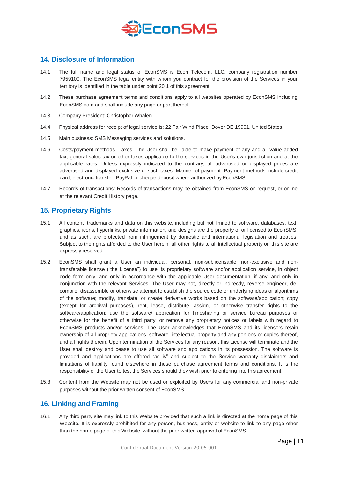

## **14. Disclosure of Information**

- 14.1. The full name and legal status of EconSMS is Econ Telecom, LLC. company registration number 7959100. The EconSMS legal entity with whom you contract for the provision of the Services in your territory is identified in the table under point 20.1 of this agreement.
- 14.2. These purchase agreement terms and conditions apply to all websites operated by EconSMS including EconSMS.com and shall include any page or part thereof.
- 14.3. Company President: Christopher Whalen
- 14.4. Physical address for receipt of legal service is: 22 Fair Wind Place, Dover DE 19901, United States.
- 14.5. Main business: SMS Messaging services and solutions.
- 14.6. Costs/payment methods. Taxes: The User shall be liable to make payment of any and all value added tax, general sales tax or other taxes applicable to the services in the User's own jurisdiction and at the applicable rates. Unless expressly indicated to the contrary, all advertised or displayed prices are advertised and displayed exclusive of such taxes. Manner of payment: Payment methods include credit card, electronic transfer, PayPal or cheque deposit where authorized by EconSMS.
- 14.7. Records of transactions: Records of transactions may be obtained from EconSMS on request, or online at the relevant Credit History page.

# **15. Proprietary Rights**

- 15.1. All content, trademarks and data on this website, including but not limited to software, databases, text, graphics, icons, hyperlinks, private information, and designs are the property of or licensed to EconSMS, and as such, are protected from infringement by domestic and international legislation and treaties. Subject to the rights afforded to the User herein, all other rights to all intellectual property on this site are expressly reserved.
- 15.2. EconSMS shall grant a User an individual, personal, non-sublicensable, non-exclusive and nontransferable license ("the License") to use its proprietary software and/or application service, in object code form only, and only in accordance with the applicable User documentation, if any, and only in conjunction with the relevant Services. The User may not, directly or indirectly, reverse engineer, decompile, disassemble or otherwise attempt to establish the source code or underlying ideas or algorithms of the software; modify, translate, or create derivative works based on the software/application; copy (except for archival purposes), rent, lease, distribute, assign, or otherwise transfer rights to the software/application; use the software/ application for timesharing or service bureau purposes or otherwise for the benefit of a third party; or remove any proprietary notices or labels with regard to EconSMS products and/or services. The User acknowledges that EconSMS and its licensors retain ownership of all propriety applications, software, intellectual property and any portions or copies thereof, and all rights therein. Upon termination of the Services for any reason, this License will terminate and the User shall destroy and cease to use all software and applications in its possession. The software is provided and applications are offered "as is" and subject to the Service warranty disclaimers and limitations of liability found elsewhere in these purchase agreement terms and conditions. It is the responsibility of the User to test the Services should they wish prior to entering into this agreement.
- 15.3. Content from the Website may not be used or exploited by Users for any commercial and non-private purposes without the prior written consent of EconSMS.

#### **16. Linking and Framing**

16.1. Any third party site may link to this Website provided that such a link is directed at the home page of this Website. It is expressly prohibited for any person, business, entity or website to link to any page other than the home page of this Website, without the prior written approval of EconSMS.